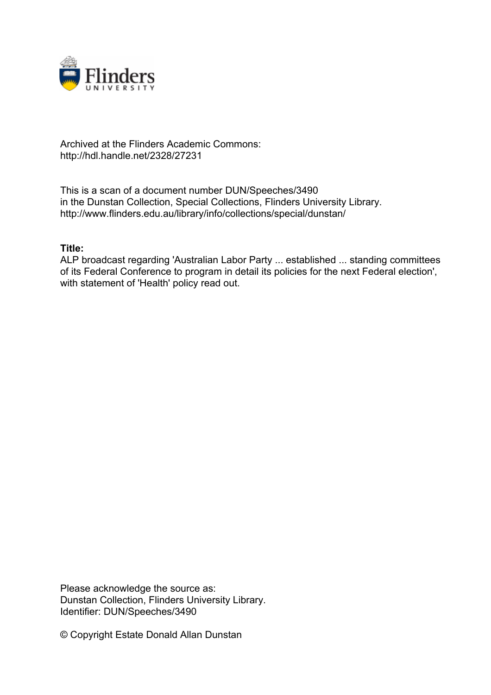

# Archived at the Flinders Academic Commons: http://hdl.handle.net/2328/27231

This is a scan of a document number DUN/Speeches/3490 in the Dunstan Collection, Special Collections, Flinders University Library. http://www.flinders.edu.au/library/info/collections/special/dunstan/

# **Title:**

ALP broadcast regarding 'Australian Labor Party ... established ... standing committees of its Federal Conference to program in detail its policies for the next Federal election', with statement of 'Health' policy read out.

Please acknowledge the source as: Dunstan Collection, Flinders University Library. Identifier: DUN/Speeches/3490

© Copyright Estate Donald Allan Dunstan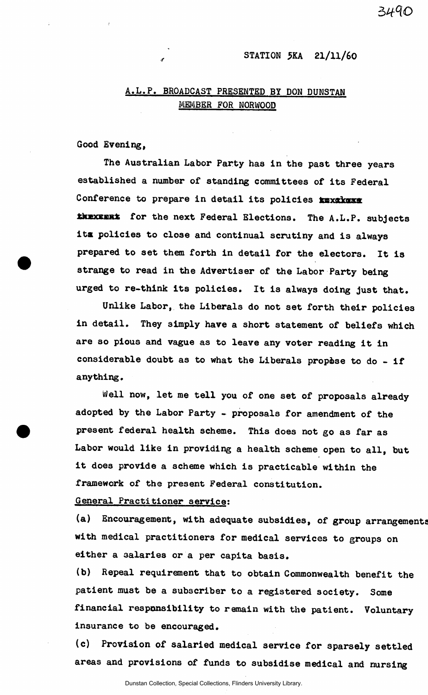# STATION 5KA 21/11/60

# A.L.P. BROADCAST PRESENTED BY DON DUNSTAN MEMBER FOR NORWOOD

Good Evening,

The Australian Labor Party has in the past three years established a number of standing committees of its Federal Conference to prepare in detail its policies xxxxxxxx thexemet for the next Federal Elections. The A.L.P. subjects its policies to close and continual scrutiny and is always prepared to set them forth in detail for the electors. It is strange to read in the Advertiser of the Labor Party being urged to re-think its policies. It is always doing just that.

Unlike Labor, the Liberals do not set forth their policies in detail. They simply have a short statement of beliefs which are so pious and vague as to leave any voter reading it in considerable doubt as to what the Liberals propòse to do  $-$  if anything.

Well now, let me tell you of one set of proposals already adopted by the Labor Party - proposals for amendment of the present federal health scheme. This does not go as far as Labor would like in providing a health scheme open to all, but it does provide a scheme which is practicable within the framework of the present Federal constitution.

# General Practitioner service:

(a) Encouragement, with adequate subsidies, of group arrangement with medical practitioners for medical services to groups on either a salaries or a per capita basis.

(b) Repeal requirement that to obtain Commonwealth benefit the patient must be a subscriber to a registered society. Some financial responsibility to remain with the patient. Voluntary insurance to be encouraged.

(c) Provision of salaried medical service for sparsely settled areas and provisions of funds to subsidise medical and nursing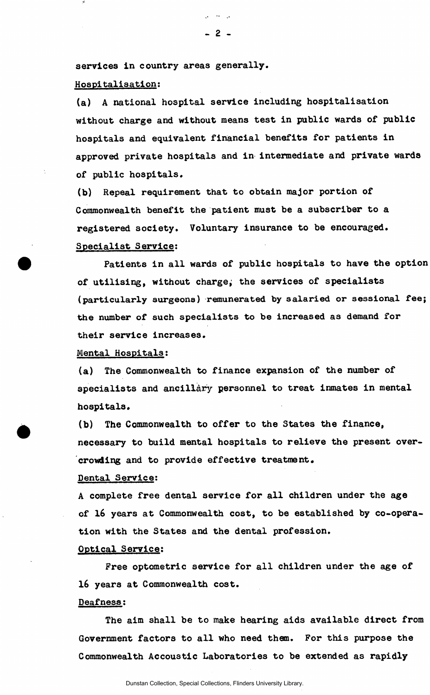services in country areas generally.

# Hospitalisation:

(a) A national hospital service including hospitalisation without charge and without means test in public wards of public hospitals and equivalent financial benefits for patients in approved private hospitals and in intermediate and private wards of public hospitals.

(b) Repeal requirement that to obtain major portion of Commonwealth benefit the patient must be a subscriber to a registered society. Voluntary insurance to be encouraged. Specialist Service:

Patients in all wards of public hospitals to have the option of utilising, without charge, the services of specialists (particularly surgeons) remunerated by salaried or sessional fee; the number of such specialists to be increased as demand for their service increases.

#### Mental Hospitals:

(a) The Commonwealth to finance expansion of the number of specialists and ancillary personnel to treat inmates in mental hospitals.

(b) The Commonwealth to offer to the States the finance, necessary to build mental hospitals to relieve the present overcrowding and to provide effective treatment.

#### Dental Service:

A complete free dental service for all children under the age of 16 years at Commonwealth cost, to be established by co-operation with the States and the dental profession.

#### Optical Service:

Free optometric service for all children under the age of 16 years at Commonwealth cost.

#### Deafness:

The aim shall be to make hearing aids available direct from Government factors to all who need them. For this purpose the Commonwealth Accoustic Laboratories to be extended as rapidly

ني جون ٿي.<br>پي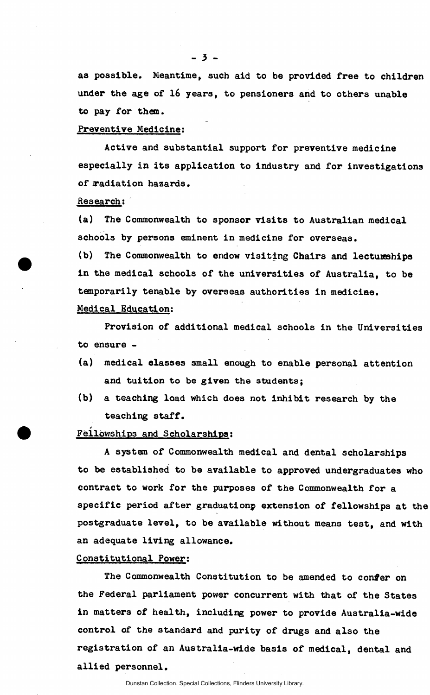as possible. Meantime, such aid to be provided free to children under the age of 16 years, to pensioners and to others unable to pay for them.

#### Preventive Medicine:

Active and substantial support for preventive medicine especially in its application to industry and for investigations of radiation hazards.

### Research:

*a* 

(a) The Commonwealth to sponsor visits to Australian medical schools by persons eminent in medicine for overseas.

(b) The Commonwealth to endow visiting Chairs and lectureships in the medical schools of the universities of Australia, to be temporarily tenable by overseas authorities in medicine. Medical Education:

Provision of additional medical schools in the Universities to ensure -

- (a) medical classes small enough to enable personal attention and tuition to be given the students;
- (b) a teaching load which does not inhibit research by the teaching staff.

# Fellowships and Scholarships:

A system of Commonwealth medical and dental scholarships to be established to be available to approved undergraduates who contract to work for the purposes of the Commonwealth for a specific period after graduationp extension of fellowships at the postgraduate level, to be available without means test, and with an adequate living allowance.

#### Constitutional Power:

The Commonwealth Constitution to be amended to confer on the Federal parliament power concurrent with that of the States in matters of health, including power to provide Australia-wide control of the standard and purity of drugs and also the registration of an Australia-wide basis of medical, dental and allied personnel.